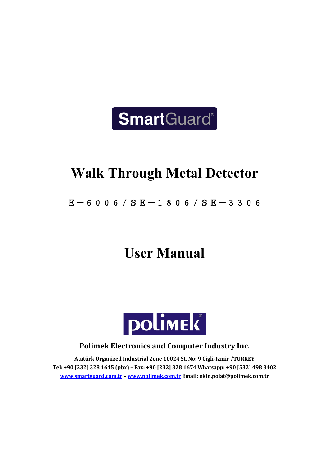

# **Walk Through Metal Detector**

### $E-6006 / S E-1806 / S E-3306$

# **User Manual**



### Polimek Electronics and Computer Industry Inc.

**Atatürk Organized Industrial Zone 10024 St. No: 9 Cigli-Izmir /TURKEY Tel: +90 [232] 328 1645 (pbx) – Fax: +90 [232] 328 1674 Whatsapp: +90 [532] 498 3402 www.smartguard.com.tr – www.polimek.com.tr Email: ekin.polat@polimek.com.tr**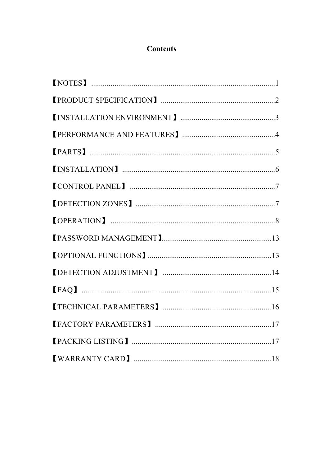### **Contents**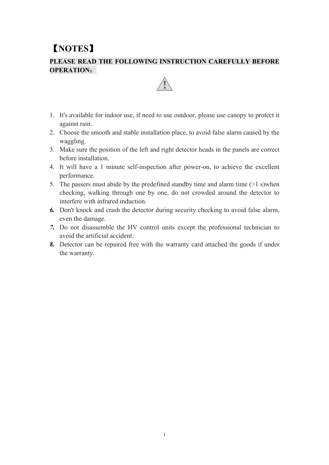# 【**NOTES**】

#### **PLEASE READ THE FOLLOWING INSTRUCTION CAREFULLY BEFORE OPERATION**:



- 1. It's available for indoor use, if need to use outdoor, please use canopy to protect it against rain.
- 2. Choose the smooth and stable installation place, to avoid false alarm caused by the waggling.
- 3. Make sure the position of the left and right detector heads in the panels are correct before installation.
- 4. It will have a 1 minute self-inspection after power-on, to achieve the excellent performance.
- 5. The passers must abide by the predefined standby time and alarm time (>1 s)when checking, walking through one by one, do not crowded around the detector to interfere with infrared induction.
- *6.* Don't knock and crash the detector during security checking to avoid false alarm, even the damage.
- *7.* Do not disassemble the HV control units except the professional technician to avoid the artificial accident.
- *8.* Detector can be repaired free with the warranty card attached the goods if under the warranty.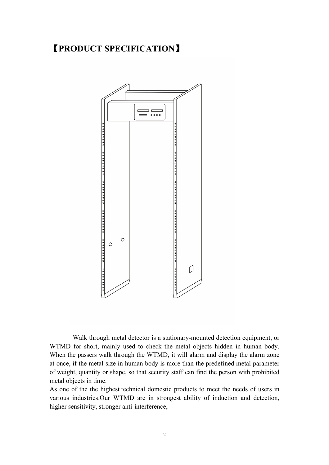### 【**PRODUCT SPECIFICATION**】



 Walk through metal detector is a stationary-mounted detection equipment, or WTMD for short, mainly used to check the metal objects hidden in human body. When the passers walk through the WTMD, it will alarm and display the alarm zone at once, if the metal size in human body is more than the predefined metal parameter of weight, quantity or shape, so that security staff can find the person with prohibited metal objects in time.

As one of the the highest technical domestic products to meet the needs of users in various industries.Our WTMD are in strongest ability of induction and detection, higher sensitivity, stronger anti-interference,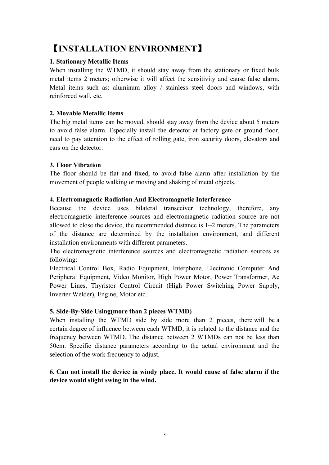## 【**INSTALLATION ENVIRONMENT**】

#### **1. Stationary Metallic Items**

When installing the WTMD, it should stay away from the stationary or fixed bulk metal items 2 meters; otherwise it will affect the sensitivity and cause false alarm. Metal items such as: aluminum alloy / stainless steel doors and windows, with reinforced wall, etc.

#### **2. Movable Metallic Items**

The big metal items can be moved, should stay away from the device about 5 meters to avoid false alarm. Especially install the detector at factory gate or ground floor, need to pay attention to the effect of rolling gate, iron security doors, elevators and cars on the detector.

#### **3. Floor Vibration**

The floor should be flat and fixed, to avoid false alarm after installation by the movement of people walking or moving and shaking of metal objects.

#### **4. Electromagnetic Radiation And Electromagnetic Interference**

Because the device uses bilateral transceiver technology, therefore, any electromagnetic interference sources and electromagnetic radiation source are not allowed to close the device, the recommended distance is  $1~2$  meters. The parameters of the distance are determined by the installation environment, and different installation environments with different parameters.

The electromagnetic interference sources and electromagnetic radiation sources as following:

Electrical Control Box, Radio Equipment, Interphone, Electronic Computer And Peripheral Equipment, Video Monitor, High Power Motor, Power Transformer, Ac Power Lines, Thyristor Control Circuit (High Power Switching Power Supply, Inverter Welder), Engine, Motor etc.

#### **5. Side-By-Side Using(more than 2 pieces WTMD)**

When installing the WTMD side by side more than 2 pieces, there will be a certain degree of influence between each WTMD, it is related to the distance and the frequency between WTMD. The distance between 2 WTMDs can not be less than 50cm. Specific distance parameters according to the actual environment and the selection of the work frequency to adjust.

#### **6. Can not install the device in windy place. It would cause of false alarm if the device would slight swing in the wind.**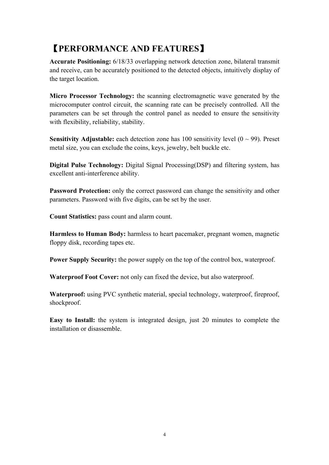# 【**PERFORMANCE AND FEATURES**】

**Accurate Positioning:** 6/18/33 overlapping network detection zone, bilateral transmit and receive, can be accurately positioned to the detected objects, intuitively display of the target location.

**Micro Processor Technology:** the scanning electromagnetic wave generated by the microcomputer control circuit, the scanning rate can be precisely controlled. All the parameters can be set through the control panel as needed to ensure the sensitivity with flexibility, reliability, stability.

**Sensitivity Adjustable:** each detection zone has  $100$  sensitivity level  $(0 \sim 99)$ . Preset metal size, you can exclude the coins, keys, jewelry, belt buckle etc.

**Digital Pulse Technology:** Digital Signal Processing(DSP) and filtering system, has excellent anti-interference ability.

**Password Protection:** only the correct password can change the sensitivity and other parameters. Password with five digits, can be set by the user.

**Count Statistics:** pass count and alarm count.

**Harmless to Human Body:** harmless to heart pacemaker, pregnant women, magnetic floppy disk, recording tapes etc.

**Power Supply Security:** the power supply on the top of the control box, waterproof.

**Waterproof Foot Cover:** not only can fixed the device, but also waterproof.

**Waterproof:** using PVC synthetic material, special technology, waterproof, fireproof, shockproof.

**Easy to Install:** the system is integrated design, just 20 minutes to complete the installation or disassemble.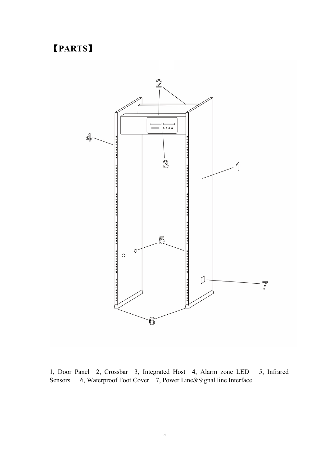# 【**PARTS**】



1, Door Panel 2, Crossbar 3, Integrated Host 4, Alarm zone LED 5, Infrared Sensors 6, Waterproof Foot Cover 7, Power Line&Signal line Interface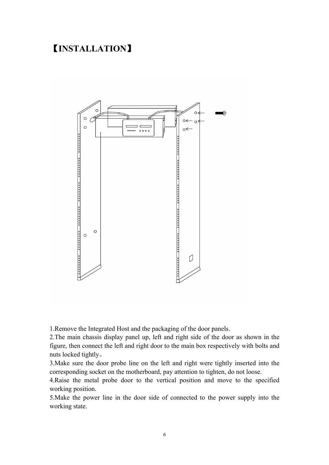# 【**INSTALLATION**】



1.Remove the Integrated Host and the packaging of the door panels.

2.The main chassis display panel up, left and right side of the door as shown in the figure, then connect the left and right door to the main box respectively with bolts and nuts locked tightly。

3.Make sure the door probe line on the left and right were tightly inserted into the corresponding socket on the motherboard, pay attention to tighten, do not loose.

4.Raise the metal probe door to the vertical position and move to the specified working position.

5.Make the power line in the door side of connected to the power supply into the working state.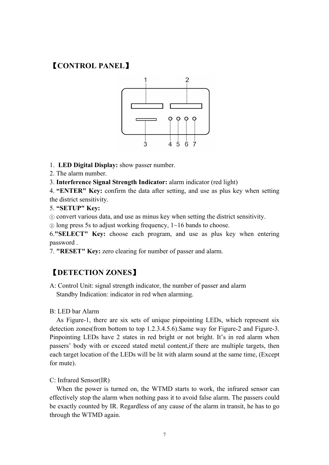### 【**CONTROL PANEL**】



1. **LED Digital Display:** show passer number.

2. The alarm number.

3. **Interference Signal Strength Indicator:** alarm indicator (red light)

4. **"ENTER" Key:** confirm the data after setting, and use as plus key when setting the district sensitivity.

5. **"SETUP" Key:** 

<sup>①</sup> convert various data, and use as minus key when setting the district sensitivity.

 $\Omega$  long press 5s to adjust working frequency, 1~16 bands to choose.

6.**"SELECT" Key:** choose each program, and use as plus key when entering password .

7. **"RESET" Key:** zero clearing for number of passer and alarm.

### 【**DETECTION ZONES**】

A: Control Unit: signal strength indicator, the number of passer and alarm Standby Indication: indicator in red when alarming.

#### B: LED bar Alarm

 As Figure-1, there are six sets of unique pinpointing LEDs, which represent six detection zones(from bottom to top 1.2.3.4.5.6).Same way for Figure-2 and Figure-3. Pinpointing LEDs have 2 states in red bright or not bright. It's in red alarm when passers' body with or exceed stated metal content,if there are multiple targets, then each target location of the LEDs will be lit with alarm sound at the same time, (Except for mute).

C: Infrared Sensor(IR)

When the power is turned on, the WTMD starts to work, the infrared sensor can effectively stop the alarm when nothing pass it to avoid false alarm. The passers could be exactly counted by IR. Regardless of any cause of the alarm in transit, he has to go through the WTMD again.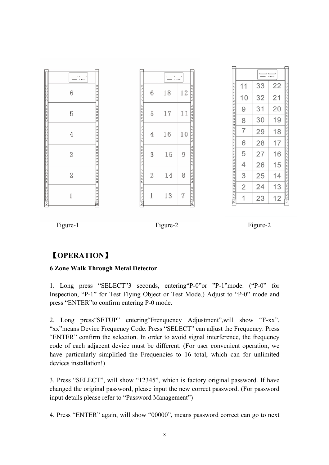|                                                              | $\sim$ 0000                                                  |                                                                  |              | $\overline{\phantom{a}}$<br>$\longrightarrow$ 0000 |                                                      |  |                |    | 0000                     |
|--------------------------------------------------------------|--------------------------------------------------------------|------------------------------------------------------------------|--------------|----------------------------------------------------|------------------------------------------------------|--|----------------|----|--------------------------|
|                                                              |                                                              |                                                                  |              |                                                    |                                                      |  | 11             | 33 | 22<br>0000               |
| $00000$                                                      | 00000<br>6                                                   | 00000                                                            | 6            | 18                                                 | 12<br>$\begin{array}{c}\n0 \\ 0\n\end{array}$<br>lal |  | 10             | 32 | 21                       |
| $\begin{array}{c c} 0 & 0 & 0 & 0 & 0 \\ \hline \end{array}$ | 000000<br>5                                                  | 000000                                                           | 5            | 17                                                 | $\begin{matrix} 1 \\ 0 \end{matrix}$<br>11           |  | 9              | 31 | 0000000<br>20            |
|                                                              |                                                              |                                                                  |              |                                                    |                                                      |  | 8              | 30 | 19<br>$\circ$<br>o       |
| 000000                                                       | 000000<br>4                                                  | 0.00000                                                          | 4            | 16                                                 | $\begin{array}{c}\n0 \\ 0\n\end{array}$<br>10        |  | $\overline{7}$ | 29 | 18<br>0.00               |
|                                                              |                                                              |                                                                  |              |                                                    | nl                                                   |  | 6              | 28 | 000<br>17                |
| 0000000                                                      | 0000000<br>3                                                 | $0 0 0 0 0 0 0$                                                  | 3            | 15                                                 | 0000<br>9                                            |  | 5              | 27 | $\circ$<br>16<br>$\circ$ |
|                                                              |                                                              |                                                                  |              |                                                    |                                                      |  | 4              | 26 | $\frac{0}{0}$<br>15      |
| $\begin{array}{c}\n0 & 0 & 0 & 0 \\ \end{array}$             | $\begin{array}{c}\n0 \\ 0 \\ 0\n\end{array}$<br>$\mathbf{2}$ | $\begin{array}{c} 0 & 0 & 0 & 0 \\ 0 & 0 & 0 & 0 \\ \end{array}$ | $\mathbf{2}$ | 14                                                 | $\begin{array}{c}\n0 \\ 0\n\end{array}$<br>8         |  | 3              | 25 | $0 0 0 0$<br>14          |
|                                                              |                                                              |                                                                  |              |                                                    |                                                      |  | $\overline{2}$ | 24 | 0.000<br>13              |
|                                                              |                                                              |                                                                  |              | 13                                                 | $\overline{7}$                                       |  | 4              | 23 | $\frac{1}{20}$<br>12     |
|                                                              |                                                              |                                                                  |              |                                                    |                                                      |  |                |    |                          |

Figure-1 Figure-2 Figure-2 Figure-2

### 【**OPERATION**】

#### **6 Zone Walk Through Metal Detector**

1. Long press "SELECT"3 seconds, entering"P-0"or "P-1"mode. ("P-0" for Inspection, "P-1" for Test Flying Object or Test Mode.) Adjust to "P-0" mode and press "ENTER"to confirm entering P-0 mode.

2. Long press"SETUP" entering"Frenquency Adjustment",will show "F-xx". "xx"means Device Frequency Code. Press "SELECT" can adjust the Frequency. Press "ENTER" confirm the selection. In order to avoid signal interference, the frequency code of each adjacent device must be different. (For user convenient operation, we have particularly simplified the Frequencies to 16 total, which can for unlimited devices installation!)

3. Press "SELECT", will show "12345", which is factory original password. If have changed the original password, please input the new correct password. (For password input details please refer to "Password Management")

4. Press "ENTER" again, will show "00000", means password correct can go to next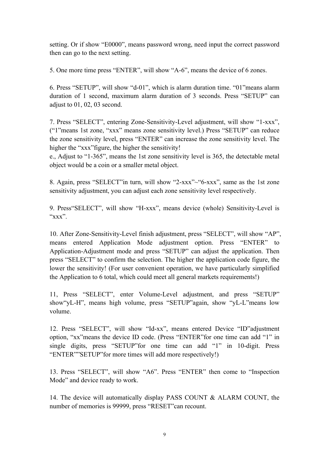setting. Or if show "E0000", means password wrong, need input the correct password then can go to the next setting.

5. One more time press "ENTER", will show "A-6", means the device of 6 zones.

6. Press "SETUP", will show "d-01", which is alarm duration time. "01"means alarm duration of 1 second, maximum alarm duration of 3 seconds. Press "SETUP" can adjust to 01, 02, 03 second.

7. Press "SELECT", entering Zone-Sensitivity-Level adjustment, will show "1-xxx", ("1"means 1st zone, "xxx" means zone sensitivity level.) Press "SETUP" can reduce the zone sensitivity level, press "ENTER" can increase the zone sensitivity level. The higher the "xxx"figure, the higher the sensitivity!

e., Adjust to "1-365", means the 1st zone sensitivity level is 365, the detectable metal object would be a coin or a smaller metal object.

8. Again, press "SELECT"in turn, will show "2-xxx"~"6-xxx", same as the 1st zone sensitivity adjustment, you can adjust each zone sensitivity level respectively.

9. Press"SELECT", will show "H-xxx", means device (whole) Sensitivity-Level is " $\text{xxx}$ ".

10. After Zone-Sensitivity-Level finish adjustment, press "SELECT", will show "AP", means entered Application Mode adjustment option. Press "ENTER" to Application-Adjustment mode and press "SETUP" can adjust the application. Then press "SELECT" to confirm the selection. The higher the application code figure, the lower the sensitivity! (For user convenient operation, we have particularly simplified the Application to 6 total, which could meet all general markets requirements!)

11, Press "SELECT", enter Volume-Level adjustment, and press "SETUP" show"yL-H", means high volume, press "SETUP"again, show "yL-L"means low volume.

12. Press "SELECT", will show "Id-xx", means entered Device "ID"adjustment option, "xx"means the device ID code. (Press "ENTER"for one time can add "1" in single digits, press "SETUP"for one time can add "1" in 10-digit. Press "ENTER""SETUP"for more times will add more respectively!)

13. Press "SELECT", will show "A6". Press "ENTER" then come to "Inspection Mode" and device ready to work.

14. The device will automatically display PASS COUNT & ALARM COUNT, the number of memories is 99999, press "RESET"can recount.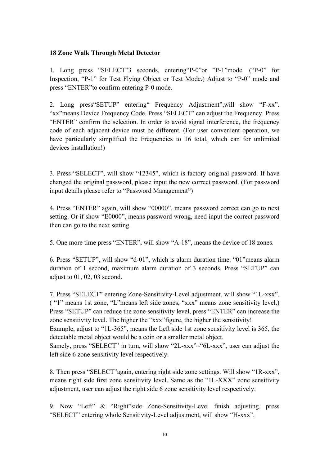#### **18 Zone Walk Through Metal Detector**

1. Long press "SELECT"3 seconds, entering"P-0"or "P-1"mode. ("P-0" for Inspection, "P-1" for Test Flying Object or Test Mode.) Adjust to "P-0" mode and press "ENTER"to confirm entering P-0 mode.

2. Long press"SETUP" entering" Frequency Adjustment",will show "F-xx". "xx"means Device Frequency Code. Press "SELECT" can adjust the Frequency. Press "ENTER" confirm the selection. In order to avoid signal interference, the frequency code of each adjacent device must be different. (For user convenient operation, we have particularly simplified the Frequencies to 16 total, which can for unlimited devices installation!)

3. Press "SELECT", will show "12345", which is factory original password. If have changed the original password, please input the new correct password. (For password input details please refer to "Password Management")

4. Press "ENTER" again, will show "00000", means password correct can go to next setting. Or if show "E0000", means password wrong, need input the correct password then can go to the next setting.

5. One more time press "ENTER", will show "A-18", means the device of 18 zones.

6. Press "SETUP", will show "d-01", which is alarm duration time. "01"means alarm duration of 1 second, maximum alarm duration of 3 seconds. Press "SETUP" can adjust to 01, 02, 03 second.

7. Press "SELECT" entering Zone-Sensitivity-Level adjustment, will show "1L-xxx". ( "1" means 1st zone, "L"means left side zones, "xxx" means zone sensitivity level.) Press "SETUP" can reduce the zone sensitivity level, press "ENTER" can increase the zone sensitivity level. The higher the "xxx"figure, the higher the sensitivity! Example, adjust to "1L-365", means the Left side 1st zone sensitivity level is 365, the detectable metal object would be a coin or a smaller metal object.

Samely, press "SELECT" in turn, will show "2L-xxx"~"6L-xxx", user can adjust the left side 6 zone sensitivity level respectively.

8. Then press "SELECT"again, entering right side zone settings. Will show "1R-xxx", means right side first zone sensitivity level. Same as the "1L-XXX" zone sensitivity adjustment, user can adjust the right side 6 zone sensitivity level respectively.

9. Now "Left" & "Right"side Zone-Sensitivity-Level finish adjusting, press "SELECT" entering whole Sensitivity-Level adjustment, will show "H-xxx".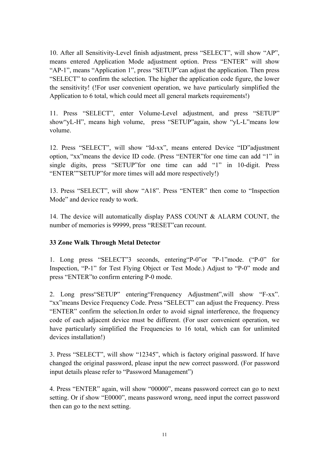10. After all Sensitivity-Level finish adjustment, press "SELECT", will show "AP", means entered Application Mode adjustment option. Press "ENTER" will show "AP-1", means "Application 1", press "SETUP"can adjust the application. Then press "SELECT" to confirm the selection. The higher the application code figure, the lower the sensitivity! (!For user convenient operation, we have particularly simplified the Application to 6 total, which could meet all general markets requirements!)

11. Press "SELECT", enter Volume-Level adjustment, and press "SETUP" show"yL-H", means high volume, press "SETUP"again, show "yL-L"means low volume.

12. Press "SELECT", will show "Id-xx", means entered Device "ID"adjustment option, "xx"means the device ID code. (Press "ENTER"for one time can add "1" in single digits, press "SETUP"for one time can add "1" in 10-digit. Press "ENTER""SETUP"for more times will add more respectively!)

13. Press "SELECT", will show "A18". Press "ENTER" then come to "Inspection Mode" and device ready to work.

14. The device will automatically display PASS COUNT & ALARM COUNT, the number of memories is 99999, press "RESET"can recount.

#### **33 Zone Walk Through Metal Detector**

1. Long press "SELECT"3 seconds, entering"P-0"or "P-1"mode. ("P-0" for Inspection, "P-1" for Test Flying Object or Test Mode.) Adjust to "P-0" mode and press "ENTER"to confirm entering P-0 mode.

2. Long press"SETUP" entering"Frenquency Adjustment",will show "F-xx". "xx"means Device Frequency Code. Press "SELECT" can adjust the Frequency. Press "ENTER" confirm the selection.In order to avoid signal interference, the frequency code of each adjacent device must be different. (For user convenient operation, we have particularly simplified the Frequencies to 16 total, which can for unlimited devices installation!)

3. Press "SELECT", will show "12345", which is factory original password. If have changed the original password, please input the new correct password. (For password input details please refer to "Password Management")

4. Press "ENTER" again, will show "00000", means password correct can go to next setting. Or if show "E0000", means password wrong, need input the correct password then can go to the next setting.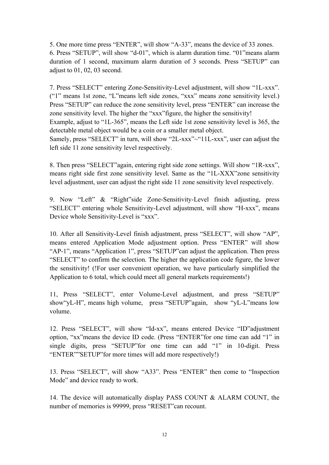5. One more time press "ENTER", will show "A-33", means the device of 33 zones. 6. Press "SETUP", will show "d-01", which is alarm duration time. "01"means alarm duration of 1 second, maximum alarm duration of 3 seconds. Press "SETUP" can adjust to 01, 02, 03 second.

7. Press "SELECT" entering Zone-Sensitivity-Level adjustment, will show "1L-xxx". ("1" means 1st zone, "L"means left side zones, "xxx" means zone sensitivity level.) Press "SETUP" can reduce the zone sensitivity level, press "ENTER" can increase the zone sensitivity level. The higher the "xxx"figure, the higher the sensitivity! Example, adjust to "1L-365", means the Left side 1st zone sensitivity level is 365, the detectable metal object would be a coin or a smaller metal object. Samely, press "SELECT" in turn, will show "2L-xxx"~"11L-xxx", user can adjust the left side 11 zone sensitivity level respectively.

8. Then press "SELECT"again, entering right side zone settings. Will show "1R-xxx", means right side first zone sensitivity level. Same as the "1L-XXX"zone sensitivity level adjustment, user can adjust the right side 11 zone sensitivity level respectively.

9. Now "Left" & "Right"side Zone-Sensitivity-Level finish adjusting, press "SELECT" entering whole Sensitivity-Level adjustment, will show "H-xxx", means Device whole Sensitivity-Level is "xxx".

10. After all Sensitivity-Level finish adjustment, press "SELECT", will show "AP", means entered Application Mode adjustment option. Press "ENTER" will show "AP-1", means "Application 1", press "SETUP"can adjust the application. Then press "SELECT" to confirm the selection. The higher the application code figure, the lower the sensitivity! (!For user convenient operation, we have particularly simplified the Application to 6 total, which could meet all general markets requirements!)

11, Press "SELECT", enter Volume-Level adjustment, and press "SETUP" show"yL-H", means high volume, press "SETUP"again, show "yL-L"means low volume.

12. Press "SELECT", will show "Id-xx", means entered Device "ID"adjustment option, "xx"means the device ID code. (Press "ENTER"for one time can add "1" in single digits, press "SETUP"for one time can add "1" in 10-digit. Press "ENTER""SETUP"for more times will add more respectively!)

13. Press "SELECT", will show "A33". Press "ENTER" then come to "Inspection Mode" and device ready to work.

14. The device will automatically display PASS COUNT & ALARM COUNT, the number of memories is 99999, press "RESET"can recount.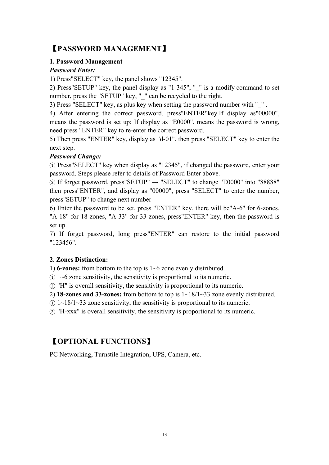### 【**PASSWORD MANAGEMENT**】

#### **1. Password Management**

#### *Password Enter:*

1) Press"SELECT" key, the panel shows "12345".

2) Press"SETUP" key, the panel display as "1-345", " $\degree$ " is a modify command to set number, press the "SETUP" key, " " can be recycled to the right.

3) Press "SELECT" key, as plus key when setting the password number with " ".

4) After entering the correct password, press"ENTER"key.If display as"00000", means the password is set up; If display as "E0000", means the password is wrong, need press "ENTER" key to re-enter the correct password.

5) Then press "ENTER" key, display as "d-01", then press "SELECT" key to enter the next step.

#### *Password Change:*

① Press"SELECT" key when display as "12345", if changed the password, enter your password. Steps please refer to details of Password Enter above.

 $\overline{a}$ ) If forget password, press"SETUP"  $\rightarrow$  "SELECT" to change "E0000" into "88888" then press"ENTER", and display as "00000", press "SELECT" to enter the number, press"SETUP" to change next number

6) Enter the password to be set, press "ENTER" key, there will be"A-6" for 6-zones, "A-18" for 18-zones, "A-33" for 33-zones, press"ENTER" key, then the password is set up.

7) If forget password, long press"ENTER" can restore to the initial password "123456".

#### **2. Zones Distinction:**

1) **6-zones:** from bottom to the top is 1~6 zone evenly distributed.

 $\Omega$  1~6 zone sensitivity, the sensitivity is proportional to its numeric.

② "H" is overall sensitivity, the sensitivity is proportional to its numeric.

2) **18-zones and 33-zones:** from bottom to top is 1~18/1~33 zone evenly distributed.

 $\odot$  1~18/1~33 zone sensitivity, the sensitivity is proportional to its numeric.

② "H-xxx" is overall sensitivity, the sensitivity is proportional to its numeric.

### 【**OPTIONAL FUNCTIONS**】

PC Networking, Turnstile Integration, UPS, Camera, etc.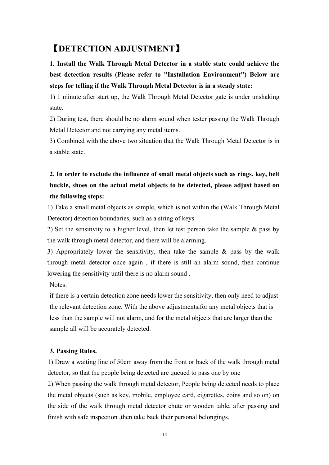### 【**DETECTION ADJUSTMENT**】

**1. Install the Walk Through Metal Detector in a stable state could achieve the best detection results (Please refer to "Installation Environment") Below are steps for telling if the Walk Through Metal Detector is in a steady state:**

1) 1 minute after start up, the Walk Through Metal Detector gate is under unshaking state.

2) During test, there should be no alarm sound when tester passing the Walk Through Metal Detector and not carrying any metal items.

3) Combined with the above two situation that the Walk Through Metal Detector is in a stable state.

**2. In order to exclude the influence of small metal objects such as rings, key, belt buckle, shoes on the actual metal objects to be detected, please adjust based on the following steps:**

1) Take a small metal objects as sample, which is not within the (Walk Through Metal Detector) detection boundaries, such as a string of keys.

2) Set the sensitivity to a higher level, then let test person take the sample & pass by the walk through metal detector, and there will be alarming.

3) Appropriately lower the sensitivity, then take the sample & pass by the walk through metal detector once again , if there is still an alarm sound, then continue lowering the sensitivity until there is no alarm sound .

Notes:

if there is a certain detection zone needs lower the sensitivity, then only need to adjust the relevant detection zone. With the above adjustments,for any metal objects that is less than the sample will not alarm, and for the metal objects that are larger than the sample all will be accurately detected.

#### **3. Passing Rules.**

1) Draw a waiting line of 50cm away from the front or back of the walk through metal detector, so that the people being detected are queued to pass one by one

2) When passing the walk through metal detector, People being detected needs to place the metal objects (such as key, mobile, employee card, cigarettes, coins and so on) on the side of the walk through metal detector chute or wooden table, after passing and finish with safe inspection ,then take back their personal belongings.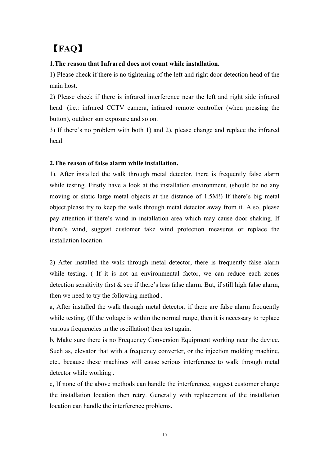# 【**FAQ**】

#### **1.The reason that Infrared does not count while installation.**

1) Please check if there is no tightening of the left and right door detection head of the main host.

2) Please check if there is infrared interference near the left and right side infrared head. (i.e.: infrared CCTV camera, infrared remote controller (when pressing the button), outdoor sun exposure and so on.

3) If there's no problem with both 1) and 2), please change and replace the infrared head.

#### **2.The reason of false alarm while installation.**

1). After installed the walk through metal detector, there is frequently false alarm while testing. Firstly have a look at the installation environment, (should be no any moving or static large metal objects at the distance of 1.5M!) If there's big metal object,please try to keep the walk through metal detector away from it. Also, please pay attention if there's wind in installation area which may cause door shaking. If there's wind, suggest customer take wind protection measures or replace the installation location.

2) After installed the walk through metal detector, there is frequently false alarm while testing. ( If it is not an environmental factor, we can reduce each zones detection sensitivity first  $\&$  see if there's less false alarm. But, if still high false alarm, then we need to try the following method .

a, After installed the walk through metal detector, if there are false alarm frequently while testing, (If the voltage is within the normal range, then it is necessary to replace various frequencies in the oscillation) then test again.

b, Make sure there is no Frequency Conversion Equipment working near the device. Such as, elevator that with a frequency converter, or the injection molding machine, etc., because these machines will cause serious interference to walk through metal detector while working .

c, If none of the above methods can handle the interference, suggest customer change the installation location then retry. Generally with replacement of the installation location can handle the interference problems.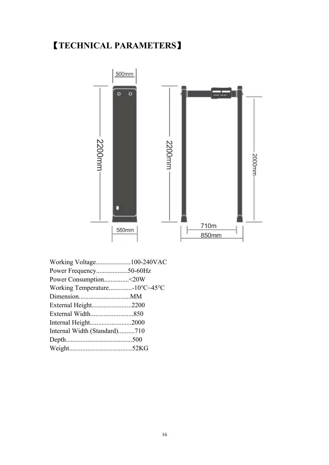# 【**TECHNICAL PARAMETERS**】



| Working Voltage100-240VAC     |  |
|-------------------------------|--|
| Power Frequency50-60Hz        |  |
| Power Consumption<20W         |  |
| Working Temperature-10°C~45°C |  |
|                               |  |
| External Height2200           |  |
| External Width850             |  |
| Internal Height2000           |  |
| Internal Width (Standard)710  |  |
|                               |  |
|                               |  |
|                               |  |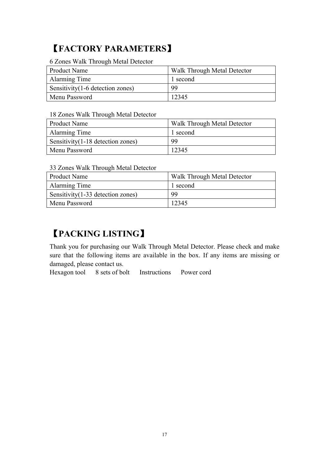# 【**FACTORY PARAMETERS**】

6 Zones Walk Through Metal Detector

| <b>Product Name</b>               | Walk Through Metal Detector |
|-----------------------------------|-----------------------------|
| Alarming Time                     | 1 second                    |
| Sensitivity (1-6 detection zones) | 99                          |
| Menu Password                     | 12345                       |

#### 18 Zones Walk Through Metal Detector

| Product Name                       | Walk Through Metal Detector |
|------------------------------------|-----------------------------|
| Alarming Time                      | 1 second                    |
| Sensitivity (1-18 detection zones) | 99                          |
| <b>Menu Password</b>               | 12345                       |

#### 33 Zones Walk Through Metal Detector

| Product Name                         | <b>Walk Through Metal Detector</b> |
|--------------------------------------|------------------------------------|
| Alarming Time                        | 1 second                           |
| Sensitivity $(1-33$ detection zones) | 99                                 |
| Menu Password                        | 12345                              |

## 【**PACKING LISTING**】

Thank you for purchasing our Walk Through Metal Detector. Please check and make sure that the following items are available in the box. If any items are missing or damaged, please contact us.

Hexagon tool 8 sets of bolt Instructions Power cord